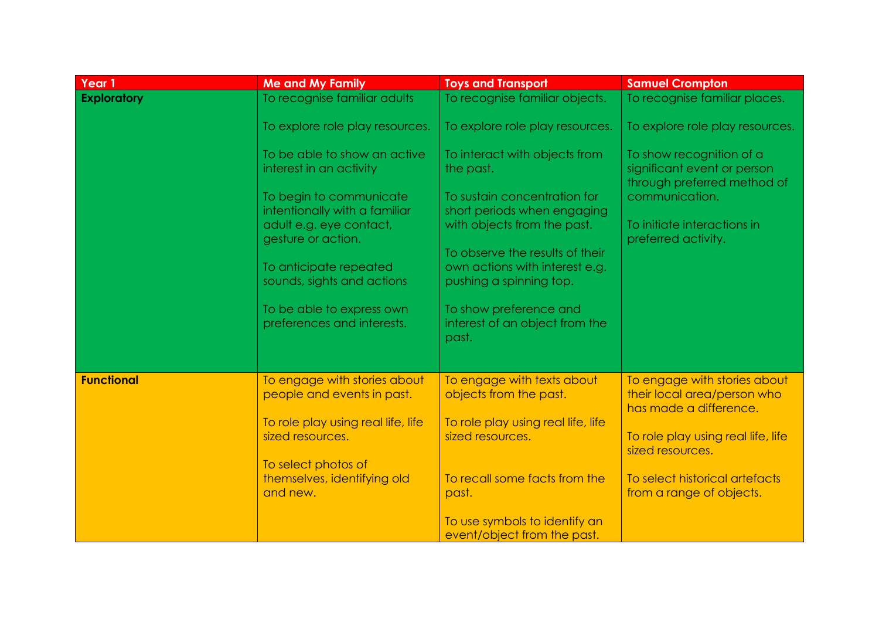| Year 1             | <b>Me and My Family</b>                                    | <b>Toys and Transport</b>                                                                    | <b>Samuel Crompton</b>                                                                 |
|--------------------|------------------------------------------------------------|----------------------------------------------------------------------------------------------|----------------------------------------------------------------------------------------|
| <b>Exploratory</b> | To recognise familiar adults                               | To recognise familiar objects.                                                               | To recognise familiar places.                                                          |
|                    | To explore role play resources.                            | To explore role play resources.                                                              | To explore role play resources.                                                        |
|                    | To be able to show an active<br>interest in an activity    | To interact with objects from<br>the past.                                                   | To show recognition of a<br>significant event or person<br>through preferred method of |
|                    | To begin to communicate<br>intentionally with a familiar   | To sustain concentration for<br>short periods when engaging                                  | communication.                                                                         |
|                    | adult e.g. eye contact,<br>gesture or action.              | with objects from the past.                                                                  | To initiate interactions in<br>preferred activity.                                     |
|                    | To anticipate repeated<br>sounds, sights and actions       | To observe the results of their<br>own actions with interest e.g.<br>pushing a spinning top. |                                                                                        |
|                    | To be able to express own<br>preferences and interests.    | To show preference and<br>interest of an object from the<br>past.                            |                                                                                        |
|                    |                                                            |                                                                                              |                                                                                        |
| <b>Functional</b>  | To engage with stories about<br>people and events in past. | To engage with texts about<br>objects from the past.                                         | To engage with stories about<br>their local area/person who<br>has made a difference.  |
|                    | To role play using real life, life<br>sized resources.     | To role play using real life, life<br>sized resources.                                       | To role play using real life, life<br>sized resources.                                 |
|                    | To select photos of                                        |                                                                                              |                                                                                        |
|                    | themselves, identifying old<br>and new.                    | To recall some facts from the<br>past.                                                       | To select historical artefacts<br>from a range of objects.                             |
|                    |                                                            | To use symbols to identify an<br>event/object from the past.                                 |                                                                                        |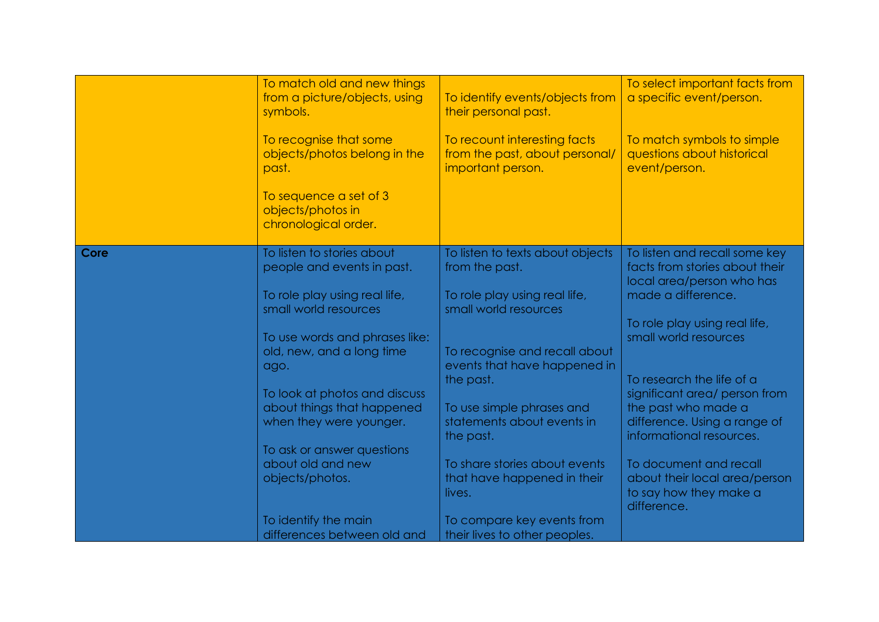|      | To match old and new things<br>from a picture/objects, using<br>symbols.<br>To recognise that some<br>objects/photos belong in the | To identify events/objects from<br>their personal past.<br>To recount interesting facts<br>from the past, about personal/ | To select important facts from<br>a specific event/person.<br>To match symbols to simple<br>questions about historical |
|------|------------------------------------------------------------------------------------------------------------------------------------|---------------------------------------------------------------------------------------------------------------------------|------------------------------------------------------------------------------------------------------------------------|
|      | past.                                                                                                                              | important person.                                                                                                         | event/person.                                                                                                          |
|      | To sequence a set of 3<br>objects/photos in<br>chronological order.                                                                |                                                                                                                           |                                                                                                                        |
| Core | To listen to stories about<br>people and events in past.                                                                           | To listen to texts about objects<br>from the past.                                                                        | To listen and recall some key<br>facts from stories about their<br>local area/person who has                           |
|      | To role play using real life,                                                                                                      | To role play using real life,                                                                                             | made a difference.                                                                                                     |
|      | small world resources                                                                                                              | small world resources                                                                                                     | To role play using real life,                                                                                          |
|      | To use words and phrases like:                                                                                                     |                                                                                                                           | small world resources                                                                                                  |
|      | old, new, and a long time<br>ago.                                                                                                  | To recognise and recall about<br>events that have happened in                                                             |                                                                                                                        |
|      |                                                                                                                                    | the past.                                                                                                                 | To research the life of a                                                                                              |
|      | To look at photos and discuss<br>about things that happened                                                                        | To use simple phrases and                                                                                                 | significant area/ person from<br>the past who made a                                                                   |
|      | when they were younger.                                                                                                            | statements about events in<br>the past.                                                                                   | difference. Using a range of<br>informational resources.                                                               |
|      | To ask or answer questions                                                                                                         |                                                                                                                           |                                                                                                                        |
|      | about old and new<br>objects/photos.                                                                                               | To share stories about events<br>that have happened in their                                                              | To document and recall<br>about their local area/person                                                                |
|      |                                                                                                                                    | lives.                                                                                                                    | to say how they make a<br>difference.                                                                                  |
|      | To identify the main                                                                                                               | To compare key events from                                                                                                |                                                                                                                        |
|      | differences between old and                                                                                                        | their lives to other peoples.                                                                                             |                                                                                                                        |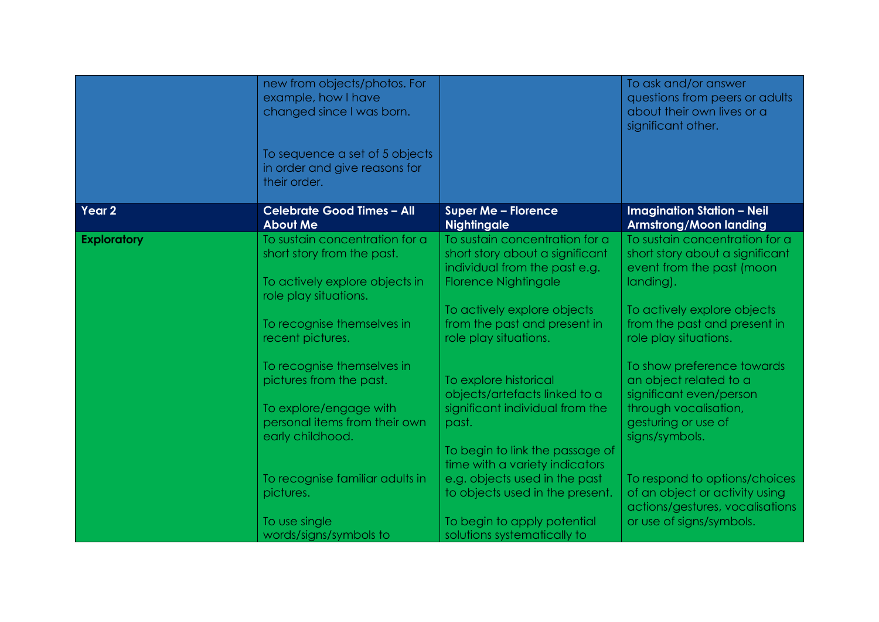|                    | new from objects/photos. For<br>example, how I have<br>changed since I was born.                                        |                                                                                                                                   | To ask and/or answer<br>questions from peers or adults<br>about their own lives or a<br>significant other.                      |
|--------------------|-------------------------------------------------------------------------------------------------------------------------|-----------------------------------------------------------------------------------------------------------------------------------|---------------------------------------------------------------------------------------------------------------------------------|
|                    | To sequence a set of 5 objects<br>in order and give reasons for<br>their order.                                         |                                                                                                                                   |                                                                                                                                 |
| Year 2             | <b>Celebrate Good Times - All</b><br><b>About Me</b>                                                                    | <b>Super Me - Florence</b><br><b>Nightingale</b>                                                                                  | <b>Imagination Station - Neil</b><br><b>Armstrong/Moon landing</b>                                                              |
| <b>Exploratory</b> | To sustain concentration for a<br>short story from the past.<br>To actively explore objects in<br>role play situations. | To sustain concentration for a<br>short story about a significant<br>individual from the past e.g.<br><b>Florence Nightingale</b> | To sustain concentration for a<br>short story about a significant<br>event from the past (moon<br>landing).                     |
|                    | To recognise themselves in<br>recent pictures.                                                                          | To actively explore objects<br>from the past and present in<br>role play situations.                                              | To actively explore objects<br>from the past and present in<br>role play situations.                                            |
|                    | To recognise themselves in<br>pictures from the past.<br>To explore/engage with<br>personal items from their own        | To explore historical<br>objects/artefacts linked to a<br>significant individual from the<br>past.                                | To show preference towards<br>an object related to a<br>significant even/person<br>through vocalisation,<br>gesturing or use of |
|                    | early childhood.                                                                                                        | To begin to link the passage of<br>time with a variety indicators                                                                 | signs/symbols.                                                                                                                  |
|                    | To recognise familiar adults in<br>pictures.                                                                            | e.g. objects used in the past<br>to objects used in the present.                                                                  | To respond to options/choices<br>of an object or activity using<br>actions/gestures, vocalisations                              |
|                    | To use single<br>words/signs/symbols to                                                                                 | To begin to apply potential<br>solutions systematically to                                                                        | or use of signs/symbols.                                                                                                        |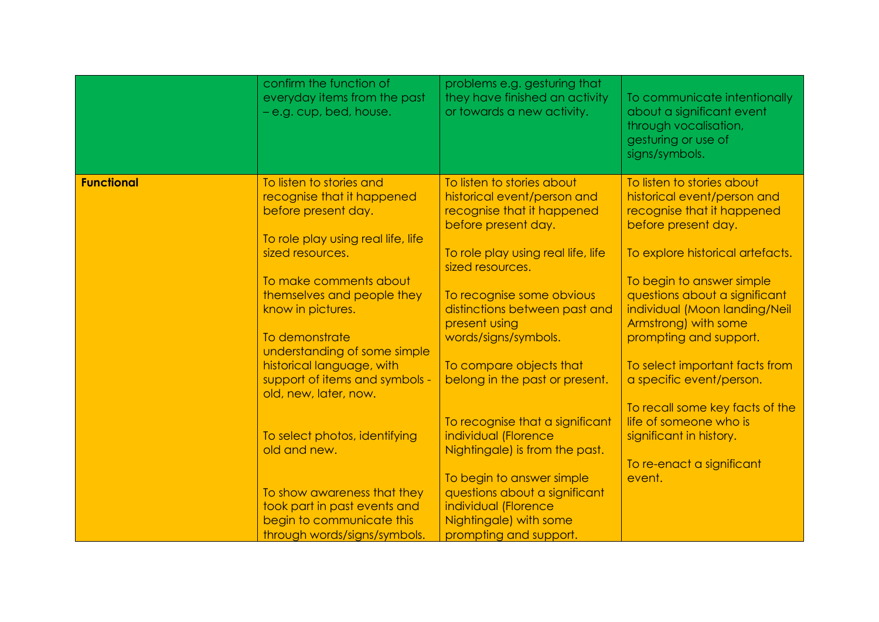|                   | confirm the function of<br>everyday items from the past<br>- e.g. cup, bed, house.                                                      | problems e.g. gesturing that<br>they have finished an activity<br>or towards a new activity.                                                         | To communicate intentionally<br>about a significant event<br>through vocalisation,<br>gesturing or use of<br>signs/symbols.                        |
|-------------------|-----------------------------------------------------------------------------------------------------------------------------------------|------------------------------------------------------------------------------------------------------------------------------------------------------|----------------------------------------------------------------------------------------------------------------------------------------------------|
| <b>Functional</b> | To listen to stories and<br>recognise that it happened<br>before present day.<br>To role play using real life, life<br>sized resources. | To listen to stories about<br>historical event/person and<br>recognise that it happened<br>before present day.<br>To role play using real life, life | To listen to stories about<br>historical event/person and<br>recognise that it happened<br>before present day.<br>To explore historical artefacts. |
|                   |                                                                                                                                         | sized resources.                                                                                                                                     |                                                                                                                                                    |
|                   | To make comments about                                                                                                                  |                                                                                                                                                      | To begin to answer simple                                                                                                                          |
|                   | themselves and people they<br>know in pictures.                                                                                         | To recognise some obvious<br>distinctions between past and<br>present using                                                                          | questions about a significant<br>individual (Moon landing/Neil<br>Armstrong) with some                                                             |
|                   | To demonstrate<br>understanding of some simple                                                                                          | words/signs/symbols.                                                                                                                                 | prompting and support.                                                                                                                             |
|                   | historical language, with<br>support of items and symbols -<br>old, new, later, now.                                                    | To compare objects that<br>belong in the past or present.                                                                                            | To select important facts from<br>a specific event/person.                                                                                         |
|                   |                                                                                                                                         |                                                                                                                                                      | To recall some key facts of the                                                                                                                    |
|                   | To select photos, identifying<br>old and new.                                                                                           | To recognise that a significant<br>individual (Florence<br>Nightingale) is from the past.                                                            | life of someone who is<br>significant in history.                                                                                                  |
|                   |                                                                                                                                         |                                                                                                                                                      | To re-enact a significant                                                                                                                          |
|                   |                                                                                                                                         | To begin to answer simple                                                                                                                            | event.                                                                                                                                             |
|                   | To show awareness that they                                                                                                             | questions about a significant                                                                                                                        |                                                                                                                                                    |
|                   | took part in past events and<br>begin to communicate this                                                                               | individual (Florence<br>Nightingale) with some                                                                                                       |                                                                                                                                                    |
|                   | through words/signs/symbols.                                                                                                            | prompting and support.                                                                                                                               |                                                                                                                                                    |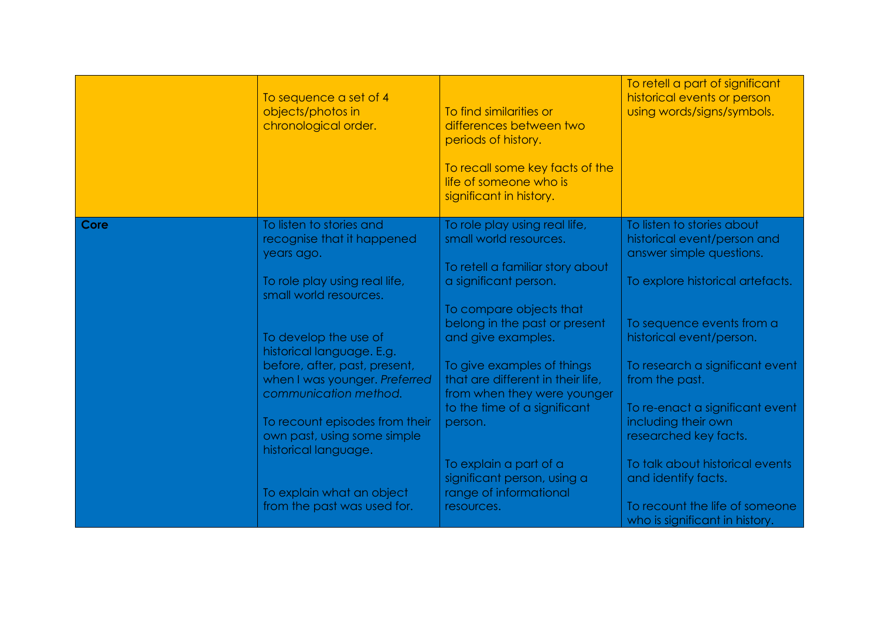|      | To sequence a set of 4<br>objects/photos in<br>chronological order.                     | To find similarities or<br>differences between two<br>periods of history.<br>To recall some key facts of the<br>life of someone who is<br>significant in history. | To retell a part of significant<br>historical events or person<br>using words/signs/symbols. |
|------|-----------------------------------------------------------------------------------------|-------------------------------------------------------------------------------------------------------------------------------------------------------------------|----------------------------------------------------------------------------------------------|
| Core | To listen to stories and<br>recognise that it happened<br>years ago.                    | To role play using real life,<br>small world resources.<br>To retell a familiar story about                                                                       | To listen to stories about<br>historical event/person and<br>answer simple questions.        |
|      | To role play using real life,<br>small world resources.                                 | a significant person.<br>To compare objects that                                                                                                                  | To explore historical artefacts.                                                             |
|      | To develop the use of<br>historical language. E.g.                                      | belong in the past or present<br>and give examples.                                                                                                               | To sequence events from a<br>historical event/person.                                        |
|      | before, after, past, present,<br>when I was younger. Preferred<br>communication method. | To give examples of things<br>that are different in their life,<br>from when they were younger                                                                    | To research a significant event<br>from the past.                                            |
|      | To recount episodes from their<br>own past, using some simple<br>historical language.   | to the time of a significant<br>person.                                                                                                                           | To re-enact a significant event<br>including their own<br>researched key facts.              |
|      | To explain what an object                                                               | To explain a part of a<br>significant person, using a<br>range of informational                                                                                   | To talk about historical events<br>and identify facts.                                       |
|      | from the past was used for.                                                             | resources.                                                                                                                                                        | To recount the life of someone<br>who is significant in history.                             |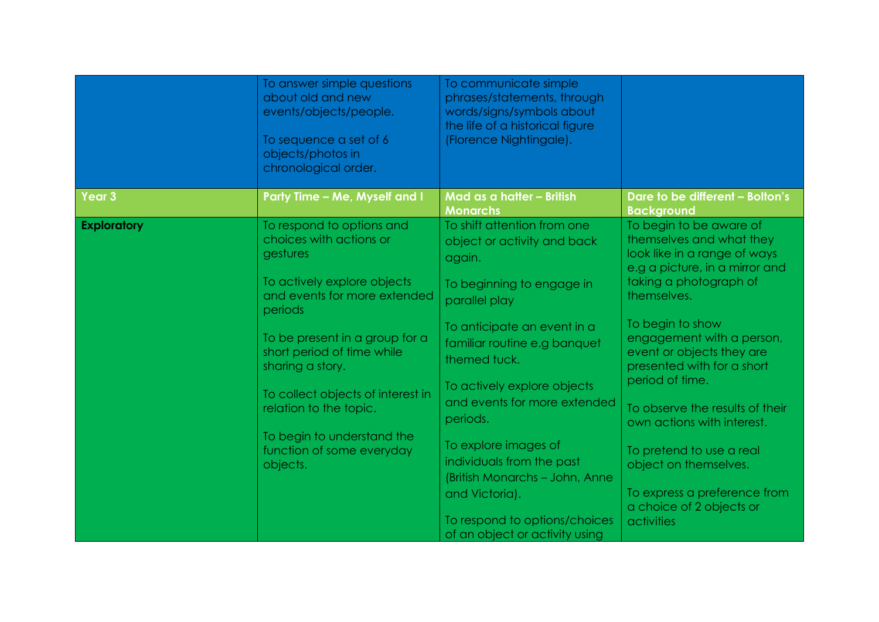|                    | To answer simple questions<br>about old and new<br>events/objects/people.<br>To sequence a set of 6<br>objects/photos in<br>chronological order. | To communicate simple<br>phrases/statements, through<br>words/signs/symbols about<br>the life of a historical figure<br>(Florence Nightingale). |                                                                                                                       |
|--------------------|--------------------------------------------------------------------------------------------------------------------------------------------------|-------------------------------------------------------------------------------------------------------------------------------------------------|-----------------------------------------------------------------------------------------------------------------------|
| Year 3             | Party Time - Me, Myself and I                                                                                                                    | Mad as a hatter - British<br><b>Monarchs</b>                                                                                                    | Dare to be different - Bolton's<br><b>Background</b>                                                                  |
| <b>Exploratory</b> | To respond to options and<br>choices with actions or<br>gestures                                                                                 | To shift attention from one<br>object or activity and back<br>again.                                                                            | To begin to be aware of<br>themselves and what they<br>look like in a range of ways<br>e.g a picture, in a mirror and |
|                    | To actively explore objects<br>and events for more extended<br>periods                                                                           | To beginning to engage in<br>parallel play                                                                                                      | taking a photograph of<br>themselves.                                                                                 |
|                    | To be present in a group for a<br>short period of time while<br>sharing a story.                                                                 | To anticipate an event in a<br>familiar routine e.g banquet<br>themed tuck.                                                                     | To begin to show<br>engagement with a person,<br>event or objects they are<br>presented with for a short              |
|                    | To collect objects of interest in<br>relation to the topic.                                                                                      | To actively explore objects<br>and events for more extended<br>periods.                                                                         | period of time.<br>To observe the results of their<br>own actions with interest.                                      |
|                    | To begin to understand the<br>function of some everyday<br>objects.                                                                              | To explore images of<br>individuals from the past<br>(British Monarchs - John, Anne                                                             | To pretend to use a real<br>object on themselves.                                                                     |
|                    |                                                                                                                                                  | and Victoria).<br>To respond to options/choices<br>of an object or activity using                                                               | To express a preference from<br>a choice of 2 objects or<br>activities                                                |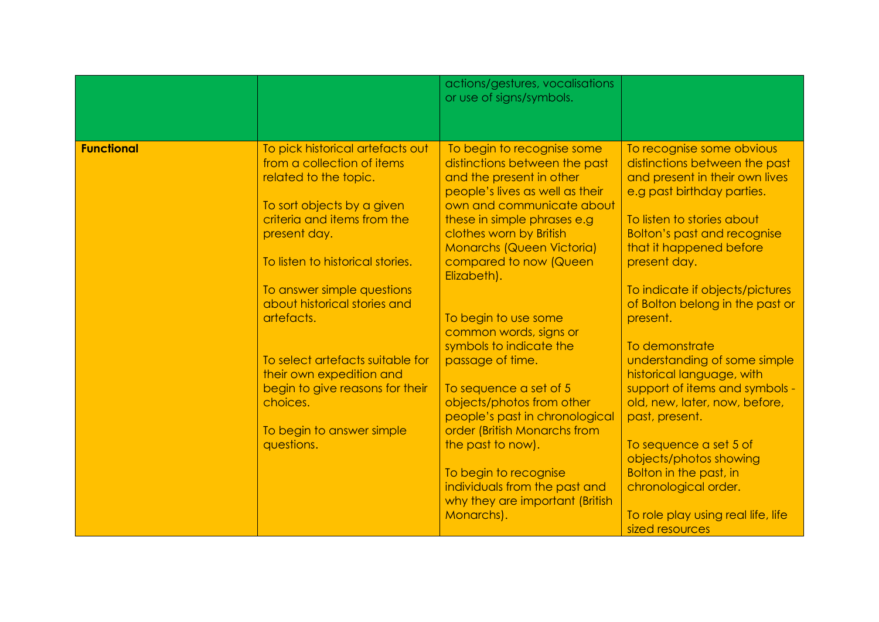|                   |                                                                                                                                                                      | actions/gestures, vocalisations<br>or use of signs/symbols.                                                                                                                                                       |                                                                                                                                                                                                |
|-------------------|----------------------------------------------------------------------------------------------------------------------------------------------------------------------|-------------------------------------------------------------------------------------------------------------------------------------------------------------------------------------------------------------------|------------------------------------------------------------------------------------------------------------------------------------------------------------------------------------------------|
|                   |                                                                                                                                                                      |                                                                                                                                                                                                                   |                                                                                                                                                                                                |
| <b>Functional</b> | To pick historical artefacts out<br>from a collection of items<br>related to the topic.<br>To sort objects by a given<br>criteria and items from the<br>present day. | To begin to recognise some<br>distinctions between the past<br>and the present in other<br>people's lives as well as their<br>own and communicate about<br>these in simple phrases e.g<br>clothes worn by British | To recognise some obvious<br>distinctions between the past<br>and present in their own lives<br>e.g past birthday parties.<br>To listen to stories about<br><b>Bolton's past and recognise</b> |
|                   | To listen to historical stories.                                                                                                                                     | <b>Monarchs (Queen Victoria)</b><br>compared to now (Queen<br>Elizabeth).                                                                                                                                         | that it happened before<br>present day.                                                                                                                                                        |
|                   | To answer simple questions<br>about historical stories and<br>artefacts.                                                                                             |                                                                                                                                                                                                                   | To indicate if objects/pictures<br>of Bolton belong in the past or                                                                                                                             |
|                   |                                                                                                                                                                      | To begin to use some<br>common words, signs or<br>symbols to indicate the                                                                                                                                         | present.<br>To demonstrate                                                                                                                                                                     |
|                   | To select artefacts suitable for<br>their own expedition and                                                                                                         | passage of time.                                                                                                                                                                                                  | understanding of some simple<br>historical language, with                                                                                                                                      |
|                   | begin to give reasons for their<br>choices.                                                                                                                          | To sequence a set of 5<br>objects/photos from other<br>people's past in chronological                                                                                                                             | support of items and symbols -<br>old, new, later, now, before,<br>past, present.                                                                                                              |
|                   | To begin to answer simple<br>questions.                                                                                                                              | order (British Monarchs from<br>the past to now).                                                                                                                                                                 | To sequence a set 5 of                                                                                                                                                                         |
|                   |                                                                                                                                                                      | To begin to recognise<br>individuals from the past and                                                                                                                                                            | objects/photos showing<br><b>Bolton in the past, in</b><br>chronological order.                                                                                                                |
|                   |                                                                                                                                                                      | why they are important (British<br>Monarchs).                                                                                                                                                                     | To role play using real life, life<br>sized resources                                                                                                                                          |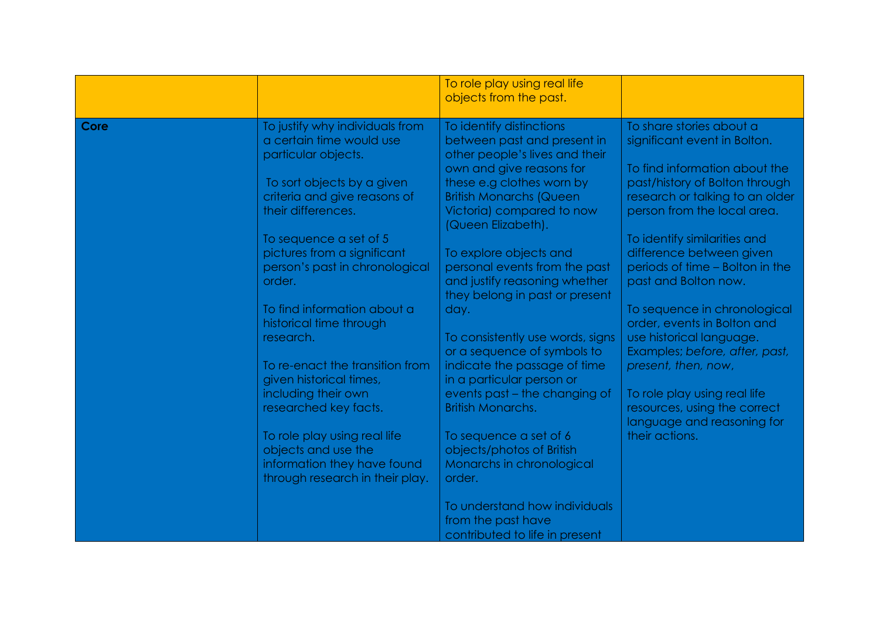|      |                                                                                                                                                                                                                                                                                                                                                                                                                                                                                                                                                        | To role play using real life<br>objects from the past.                                                                                                                                                                                                                                                                                                                                                                                                                                                                                                                                                                                                         |                                                                                                                                                                                                                                                                                                                                                                                                                                                                                                                                                                                          |
|------|--------------------------------------------------------------------------------------------------------------------------------------------------------------------------------------------------------------------------------------------------------------------------------------------------------------------------------------------------------------------------------------------------------------------------------------------------------------------------------------------------------------------------------------------------------|----------------------------------------------------------------------------------------------------------------------------------------------------------------------------------------------------------------------------------------------------------------------------------------------------------------------------------------------------------------------------------------------------------------------------------------------------------------------------------------------------------------------------------------------------------------------------------------------------------------------------------------------------------------|------------------------------------------------------------------------------------------------------------------------------------------------------------------------------------------------------------------------------------------------------------------------------------------------------------------------------------------------------------------------------------------------------------------------------------------------------------------------------------------------------------------------------------------------------------------------------------------|
| Core | To justify why individuals from<br>a certain time would use<br>particular objects.<br>To sort objects by a given<br>criteria and give reasons of<br>their differences.<br>To sequence a set of 5<br>pictures from a significant<br>person's past in chronological<br>order.<br>To find information about a<br>historical time through<br>research.<br>To re-enact the transition from<br>given historical times,<br>including their own<br>researched key facts.<br>To role play using real life<br>objects and use the<br>information they have found | To identify distinctions<br>between past and present in<br>other people's lives and their<br>own and give reasons for<br>these e.g clothes worn by<br><b>British Monarchs (Queen</b><br>Victoria) compared to now<br>(Queen Elizabeth).<br>To explore objects and<br>personal events from the past<br>and justify reasoning whether<br>they belong in past or present<br>day.<br>To consistently use words, signs<br>or a sequence of symbols to<br>indicate the passage of time<br>in a particular person or<br>events past - the changing of<br><b>British Monarchs.</b><br>To sequence a set of 6<br>objects/photos of British<br>Monarchs in chronological | To share stories about a<br>significant event in Bolton.<br>To find information about the<br>past/history of Bolton through<br>research or talking to an older<br>person from the local area.<br>To identify similarities and<br>difference between given<br>periods of time - Bolton in the<br>past and Bolton now.<br>To sequence in chronological<br>order, events in Bolton and<br>use historical language.<br>Examples; before, after, past,<br>present, then, now,<br>To role play using real life<br>resources, using the correct<br>language and reasoning for<br>their actions. |
|      | through research in their play.                                                                                                                                                                                                                                                                                                                                                                                                                                                                                                                        | order.<br>To understand how individuals<br>from the past have<br>contributed to life in present                                                                                                                                                                                                                                                                                                                                                                                                                                                                                                                                                                |                                                                                                                                                                                                                                                                                                                                                                                                                                                                                                                                                                                          |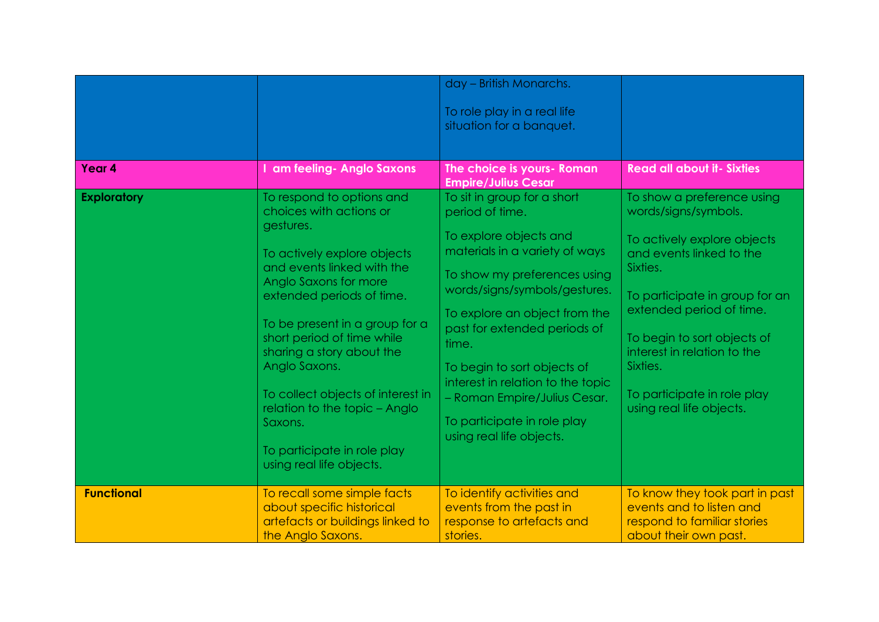| Year 4             | I am feeling- Anglo Saxons                                                                                                                                                                                                                                                                                                                                                                                                                     | day - British Monarchs.<br>To role play in a real life<br>situation for a banquet.<br>The choice is yours- Roman                                                                                                                                                                                                                                                                                                     | <b>Read all about it- Sixties</b>                                                                                                                                                                                                                                                                                            |
|--------------------|------------------------------------------------------------------------------------------------------------------------------------------------------------------------------------------------------------------------------------------------------------------------------------------------------------------------------------------------------------------------------------------------------------------------------------------------|----------------------------------------------------------------------------------------------------------------------------------------------------------------------------------------------------------------------------------------------------------------------------------------------------------------------------------------------------------------------------------------------------------------------|------------------------------------------------------------------------------------------------------------------------------------------------------------------------------------------------------------------------------------------------------------------------------------------------------------------------------|
|                    |                                                                                                                                                                                                                                                                                                                                                                                                                                                | <b>Empire/Julius Cesar</b>                                                                                                                                                                                                                                                                                                                                                                                           |                                                                                                                                                                                                                                                                                                                              |
| <b>Exploratory</b> | To respond to options and<br>choices with actions or<br>gestures.<br>To actively explore objects<br>and events linked with the<br>Anglo Saxons for more<br>extended periods of time.<br>To be present in a group for a<br>short period of time while<br>sharing a story about the<br>Anglo Saxons.<br>To collect objects of interest in<br>relation to the topic - Anglo<br>Saxons.<br>To participate in role play<br>using real life objects. | To sit in group for a short<br>period of time.<br>To explore objects and<br>materials in a variety of ways<br>To show my preferences using<br>words/signs/symbols/gestures.<br>To explore an object from the<br>past for extended periods of<br>time.<br>To begin to sort objects of<br>interest in relation to the topic<br>- Roman Empire/Julius Cesar.<br>To participate in role play<br>using real life objects. | To show a preference using<br>words/signs/symbols.<br>To actively explore objects<br>and events linked to the<br>Sixties.<br>To participate in group for an<br>extended period of time.<br>To begin to sort objects of<br>interest in relation to the<br>Sixties.<br>To participate in role play<br>using real life objects. |
| <b>Functional</b>  | To recall some simple facts<br>about specific historical<br>artefacts or buildings linked to<br>the Anglo Saxons.                                                                                                                                                                                                                                                                                                                              | To identify activities and<br>events from the past in<br>response to artefacts and<br>stories.                                                                                                                                                                                                                                                                                                                       | To know they took part in past<br>events and to listen and<br>respond to familiar stories<br>about their own past.                                                                                                                                                                                                           |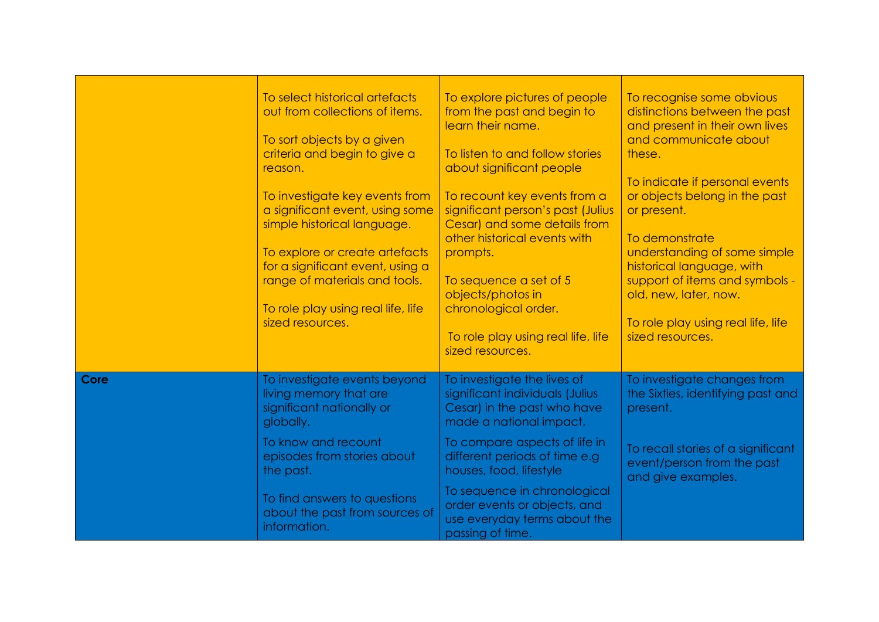|      | To select historical artefacts<br>out from collections of items.<br>To sort objects by a given<br>criteria and begin to give a<br>reason.<br>To investigate key events from<br>a significant event, using some<br>simple historical language.<br>To explore or create artefacts<br>for a significant event, using a<br>range of materials and tools.<br>To role play using real life, life<br>sized resources. | To explore pictures of people<br>from the past and begin to<br>learn their name.<br>To listen to and follow stories<br>about significant people<br>To recount key events from a<br>significant person's past (Julius<br>Cesar) and some details from<br>other historical events with<br>prompts.<br>To sequence a set of 5<br>objects/photos in<br>chronological order.<br>To role play using real life, life<br>sized resources. | To recognise some obvious<br>distinctions between the past<br>and present in their own lives<br>and communicate about<br>these.<br>To indicate if personal events<br>or objects belong in the past<br>or present.<br>To demonstrate<br>understanding of some simple<br>historical language, with<br>support of items and symbols -<br>old, new, later, now.<br>To role play using real life, life<br>sized resources. |
|------|----------------------------------------------------------------------------------------------------------------------------------------------------------------------------------------------------------------------------------------------------------------------------------------------------------------------------------------------------------------------------------------------------------------|-----------------------------------------------------------------------------------------------------------------------------------------------------------------------------------------------------------------------------------------------------------------------------------------------------------------------------------------------------------------------------------------------------------------------------------|-----------------------------------------------------------------------------------------------------------------------------------------------------------------------------------------------------------------------------------------------------------------------------------------------------------------------------------------------------------------------------------------------------------------------|
| Core | To investigate events beyond<br>living memory that are<br>significant nationally or<br>globally.                                                                                                                                                                                                                                                                                                               | To investigate the lives of<br>significant individuals (Julius<br>Cesar) in the past who have<br>made a national impact.                                                                                                                                                                                                                                                                                                          | To investigate changes from<br>the Sixties, identifying past and<br>present.                                                                                                                                                                                                                                                                                                                                          |
|      | To know and recount<br>episodes from stories about<br>the past.                                                                                                                                                                                                                                                                                                                                                | To compare aspects of life in<br>different periods of time e.g<br>houses, food, lifestyle                                                                                                                                                                                                                                                                                                                                         | To recall stories of a significant<br>event/person from the past<br>and give examples.                                                                                                                                                                                                                                                                                                                                |
|      | To find answers to questions<br>about the past from sources of<br>information.                                                                                                                                                                                                                                                                                                                                 | To sequence in chronological<br>order events or objects, and<br>use everyday terms about the<br>passing of time.                                                                                                                                                                                                                                                                                                                  |                                                                                                                                                                                                                                                                                                                                                                                                                       |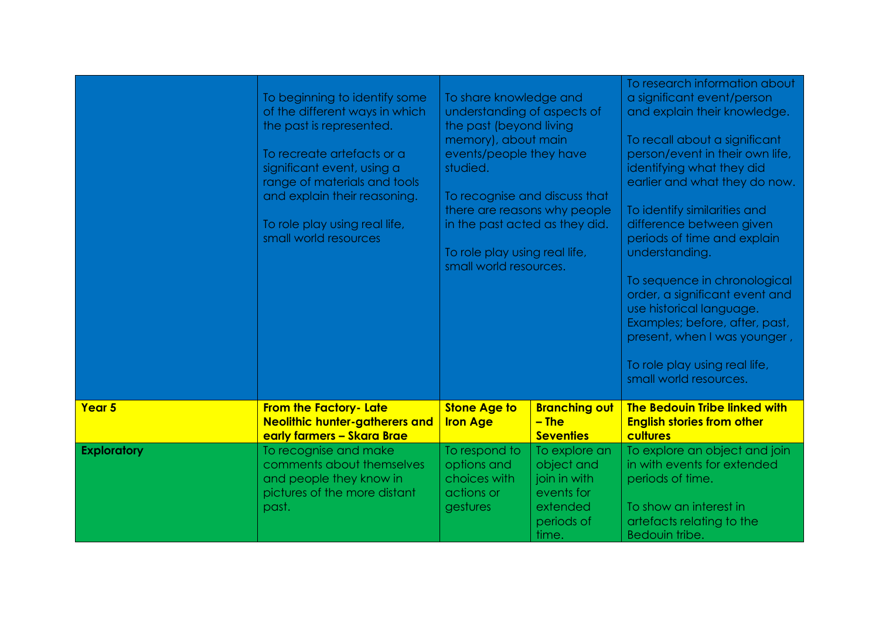|                    | To beginning to identify some<br>of the different ways in which<br>the past is represented.<br>To recreate artefacts or a<br>significant event, using a<br>range of materials and tools<br>and explain their reasoning.<br>To role play using real life,<br>small world resources | To share knowledge and<br>understanding of aspects of<br>the past (beyond living<br>memory), about main<br>events/people they have<br>studied.<br>To recognise and discuss that<br>there are reasons why people<br>in the past acted as they did.<br>To role play using real life,<br>small world resources. |                                                                                              | To research information about<br>a significant event/person<br>and explain their knowledge.<br>To recall about a significant<br>person/event in their own life,<br>identifying what they did<br>earlier and what they do now.<br>To identify similarities and<br>difference between given<br>periods of time and explain<br>understanding.<br>To sequence in chronological<br>order, a significant event and<br>use historical language.<br>Examples; before, after, past,<br>present, when I was younger,<br>To role play using real life,<br>small world resources. |
|--------------------|-----------------------------------------------------------------------------------------------------------------------------------------------------------------------------------------------------------------------------------------------------------------------------------|--------------------------------------------------------------------------------------------------------------------------------------------------------------------------------------------------------------------------------------------------------------------------------------------------------------|----------------------------------------------------------------------------------------------|-----------------------------------------------------------------------------------------------------------------------------------------------------------------------------------------------------------------------------------------------------------------------------------------------------------------------------------------------------------------------------------------------------------------------------------------------------------------------------------------------------------------------------------------------------------------------|
| Year <sub>5</sub>  | <b>From the Factory- Late</b><br><b>Neolithic hunter-gatherers and</b><br>early farmers - Skara Brae                                                                                                                                                                              | <b>Stone Age to</b><br><b>Iron Age</b>                                                                                                                                                                                                                                                                       | <b>Branching out</b><br>$-$ The<br><b>Seventies</b>                                          | The Bedouin Tribe linked with<br><b>English stories from other</b><br>cultures                                                                                                                                                                                                                                                                                                                                                                                                                                                                                        |
| <b>Exploratory</b> | To recognise and make<br>comments about themselves<br>and people they know in<br>pictures of the more distant<br>past.                                                                                                                                                            | To respond to<br>options and<br>choices with<br>actions or<br>gestures                                                                                                                                                                                                                                       | To explore an<br>object and<br>join in with<br>events for<br>extended<br>periods of<br>time. | To explore an object and join<br>in with events for extended<br>periods of time.<br>To show an interest in<br>artefacts relating to the<br>Bedouin tribe.                                                                                                                                                                                                                                                                                                                                                                                                             |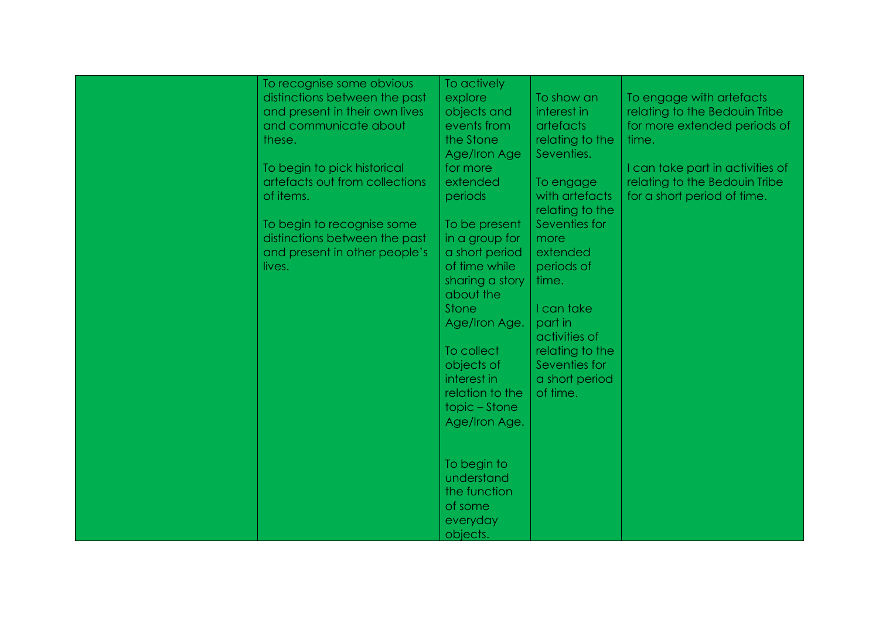| To recognise some obvious<br>distinctions between the past<br>and present in their own lives<br>and communicate about<br>these.<br>To begin to pick historical<br>artefacts out from collections<br>of items.<br>To begin to recognise some<br>distinctions between the past<br>and present in other people's<br>lives. | To actively<br>explore<br>objects and<br>events from<br>the Stone<br>Age/Iron Age<br>for more<br>extended<br>periods<br>To be present<br>in a group for<br>a short period<br>of time while<br>sharing a story<br>about the<br>Stone<br>Age/Iron Age. | To show an<br>interest in<br><b>artefacts</b><br>relating to the<br>Seventies.<br>To engage<br>with artefacts<br>relating to the<br>Seventies for<br>more<br>extended<br>periods of<br>time.<br>I can take<br>part in<br>activities of | To engage with artefacts<br>relating to the Bedouin Tribe<br>for more extended periods of<br>time.<br>I can take part in activities of<br>relating to the Bedouin Tribe<br>for a short period of time. |
|-------------------------------------------------------------------------------------------------------------------------------------------------------------------------------------------------------------------------------------------------------------------------------------------------------------------------|------------------------------------------------------------------------------------------------------------------------------------------------------------------------------------------------------------------------------------------------------|----------------------------------------------------------------------------------------------------------------------------------------------------------------------------------------------------------------------------------------|--------------------------------------------------------------------------------------------------------------------------------------------------------------------------------------------------------|
|                                                                                                                                                                                                                                                                                                                         | To collect<br>objects of<br>interest in<br>relation to the<br>topic – Stone<br>Age/Iron Age.<br>To begin to<br>understand<br>the function<br>of some<br>everyday<br>objects.                                                                         | relating to the<br>Seventies for<br>a short period<br>of time.                                                                                                                                                                         |                                                                                                                                                                                                        |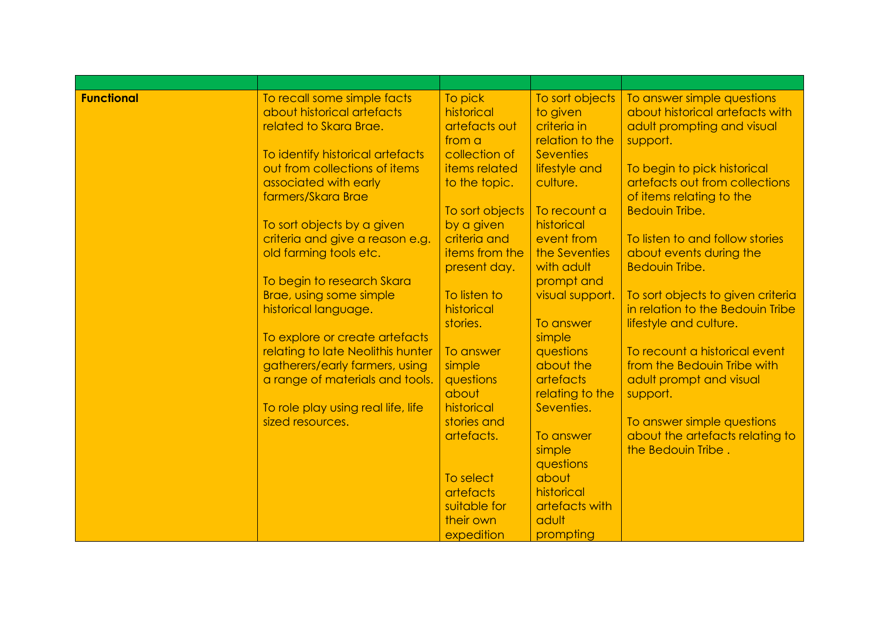| <b>Functional</b> | To recall some simple facts<br>about historical artefacts<br>related to Skara Brae.                    | To pick<br>historical<br>artefacts out                           | To sort objects<br>to given<br>criteria in                       | To answer simple questions<br>about historical artefacts with<br>adult prompting and visual |
|-------------------|--------------------------------------------------------------------------------------------------------|------------------------------------------------------------------|------------------------------------------------------------------|---------------------------------------------------------------------------------------------|
|                   | To identify historical artefacts<br>out from collections of items<br>associated with early             | from a<br>collection of<br><b>items</b> related<br>to the topic. | relation to the<br><b>Seventies</b><br>lifestyle and<br>culture. | support.<br>To begin to pick historical<br>artefacts out from collections                   |
|                   | farmers/Skara Brae                                                                                     | To sort objects                                                  | To recount a                                                     | of items relating to the<br><b>Bedouin Tribe.</b>                                           |
|                   | To sort objects by a given<br>criteria and give a reason e.g.<br>old farming tools etc.                | by a given<br>criteria and<br>items from the<br>present day.     | historical<br>event from<br>the Seventies<br>with adult          | To listen to and follow stories<br>about events during the<br><b>Bedouin Tribe.</b>         |
|                   | To begin to research Skara<br>Brae, using some simple<br>historical language.                          | To listen to<br>historical                                       | prompt and<br>visual support.                                    | To sort objects to given criteria<br>in relation to the Bedouin Tribe                       |
|                   | To explore or create artefacts                                                                         | stories.                                                         | To answer<br>simple                                              | lifestyle and culture.                                                                      |
|                   | relating to late Neolithis hunter<br>gatherers/early farmers, using<br>a range of materials and tools. | To answer<br>simple<br>questions                                 | questions<br>about the<br>artefacts                              | To recount a historical event<br>from the Bedouin Tribe with<br>adult prompt and visual     |
|                   | To role play using real life, life<br>sized resources.                                                 | about<br>historical<br>stories and                               | relating to the<br>Seventies.                                    | support.<br>To answer simple questions                                                      |
|                   |                                                                                                        | artefacts.                                                       | To answer<br>simple<br>questions                                 | about the artefacts relating to<br>the Bedouin Tribe.                                       |
|                   |                                                                                                        | To select<br><b>artefacts</b><br>suitable for                    | about<br>historical<br>artefacts with                            |                                                                                             |
|                   |                                                                                                        | their own<br>expedition                                          | adult<br>prompting                                               |                                                                                             |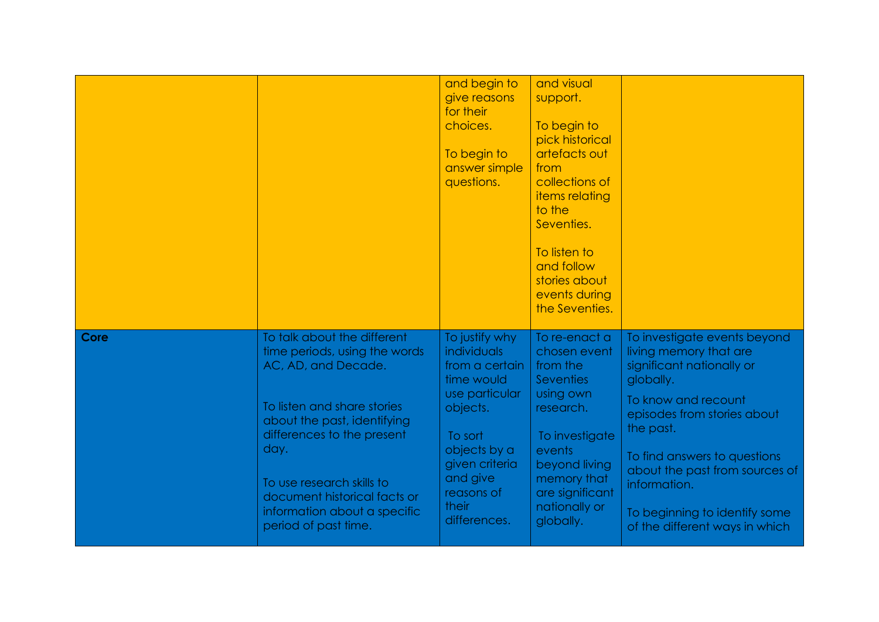|      |                                                                                                                                                                                                                                                                                                              | and begin to<br>give reasons<br>for their<br>choices.<br>To begin to<br>answer simple<br>questions.                                                                                         | and visual<br>support.<br>To begin to<br>pick historical<br>artefacts out<br>from<br>collections of<br>items relating<br>to the<br>Seventies.<br>To listen to<br>and follow<br>stories about<br>events during<br>the Seventies. |                                                                                                                                                                                                                                                                                                                          |
|------|--------------------------------------------------------------------------------------------------------------------------------------------------------------------------------------------------------------------------------------------------------------------------------------------------------------|---------------------------------------------------------------------------------------------------------------------------------------------------------------------------------------------|---------------------------------------------------------------------------------------------------------------------------------------------------------------------------------------------------------------------------------|--------------------------------------------------------------------------------------------------------------------------------------------------------------------------------------------------------------------------------------------------------------------------------------------------------------------------|
| Core | To talk about the different<br>time periods, using the words<br>AC, AD, and Decade.<br>To listen and share stories<br>about the past, identifying<br>differences to the present<br>day.<br>To use research skills to<br>document historical facts or<br>information about a specific<br>period of past time. | To justify why<br>individuals<br>from a certain<br>time would<br>use particular<br>objects.<br>To sort<br>objects by a<br>given criteria<br>and give<br>reasons of<br>their<br>differences. | To re-enact a<br>chosen event<br>from the<br><b>Seventies</b><br>using own<br>research.<br>To investigate<br>events<br>beyond living<br>memory that<br>are significant<br>nationally or<br>globally.                            | To investigate events beyond<br>living memory that are<br>significant nationally or<br>globally.<br>To know and recount<br>episodes from stories about<br>the past.<br>To find answers to questions<br>about the past from sources of<br>information.<br>To beginning to identify some<br>of the different ways in which |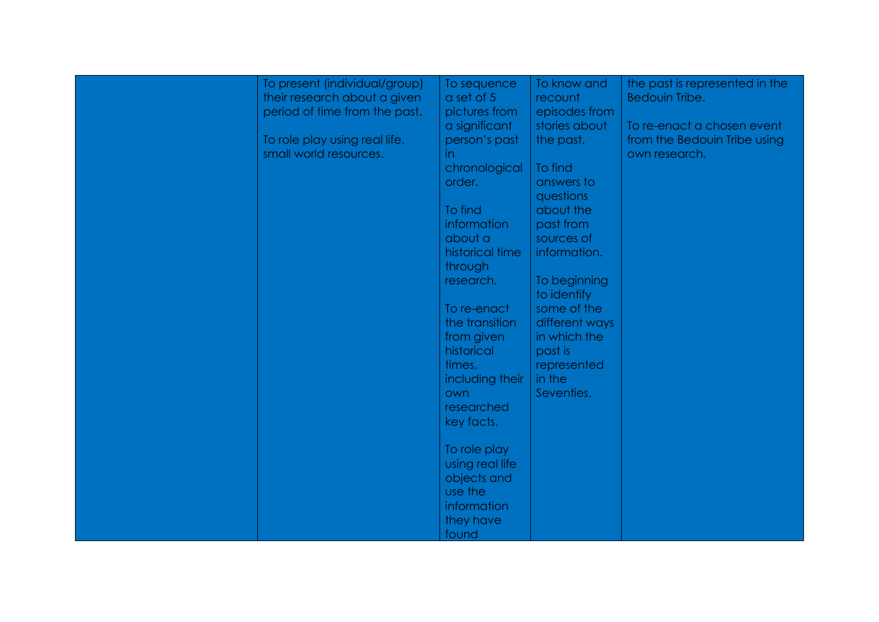| To present (individual/group)<br>their research about a given<br>period of time from the past. | To sequence<br>$a$ set of $5$<br>pictures from                                                                                                                                             | To know and<br>recount<br>episodes from                                                                                                                                                  | the past is represented in the<br>Bedouin Tribe.                            |
|------------------------------------------------------------------------------------------------|--------------------------------------------------------------------------------------------------------------------------------------------------------------------------------------------|------------------------------------------------------------------------------------------------------------------------------------------------------------------------------------------|-----------------------------------------------------------------------------|
| To role play using real life,<br>small world resources.                                        | a significant<br>person's past<br>in<br>chronological<br>order.<br>To find<br>information<br>about a<br>historical time<br>through<br>research.<br>To re-enact<br>the transition           | stories about<br>the past.<br>To find<br>answers to<br>questions<br>about the<br>past from<br>sources of<br>information.<br>To beginning<br>to identify<br>some of the<br>different ways | To re-enact a chosen event<br>from the Bedouin Tribe using<br>own research. |
|                                                                                                | from given<br>historical<br>times,<br>including their<br>own<br>researched<br>key facts.<br>To role play<br>using real life<br>objects and<br>use the<br>information<br>they have<br>found | in which the<br>past is<br>represented<br>in the<br>Seventies.                                                                                                                           |                                                                             |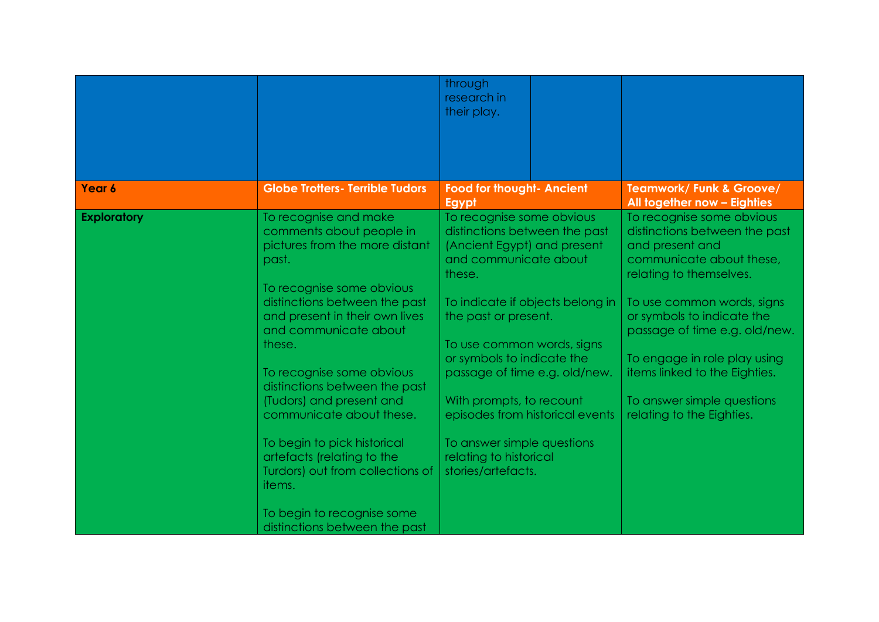|                    |                                                            | through<br>research in                                       |                                                             |
|--------------------|------------------------------------------------------------|--------------------------------------------------------------|-------------------------------------------------------------|
|                    |                                                            | their play.                                                  |                                                             |
|                    |                                                            |                                                              |                                                             |
|                    |                                                            |                                                              |                                                             |
|                    |                                                            |                                                              |                                                             |
| Year 6             | <b>Globe Trotters- Terrible Tudors</b>                     | <b>Food for thought- Ancient</b><br>Egypt                    | Teamwork/ Funk & Groove/<br>All together now - Eighties     |
| <b>Exploratory</b> | To recognise and make                                      | To recognise some obvious                                    | To recognise some obvious                                   |
|                    | comments about people in<br>pictures from the more distant | distinctions between the past<br>(Ancient Egypt) and present | distinctions between the past<br>and present and            |
|                    | past.                                                      | and communicate about                                        | communicate about these,                                    |
|                    |                                                            | these.                                                       | relating to themselves.                                     |
|                    | To recognise some obvious                                  |                                                              |                                                             |
|                    | distinctions between the past                              | To indicate if objects belong in                             | To use common words, signs                                  |
|                    | and present in their own lives<br>and communicate about    | the past or present.                                         | or symbols to indicate the<br>passage of time e.g. old/new. |
|                    | these.                                                     | To use common words, signs                                   |                                                             |
|                    |                                                            | or symbols to indicate the                                   | To engage in role play using                                |
|                    | To recognise some obvious<br>distinctions between the past | passage of time e.g. old/new.                                | items linked to the Eighties.                               |
|                    | (Tudors) and present and                                   | With prompts, to recount                                     | To answer simple questions                                  |
|                    | communicate about these.                                   | episodes from historical events                              | relating to the Eighties.                                   |
|                    | To begin to pick historical                                | To answer simple questions                                   |                                                             |
|                    | artefacts (relating to the                                 | relating to historical                                       |                                                             |
|                    | Turdors) out from collections of<br>items.                 | stories/artefacts.                                           |                                                             |
|                    |                                                            |                                                              |                                                             |
|                    | To begin to recognise some                                 |                                                              |                                                             |
|                    | distinctions between the past                              |                                                              |                                                             |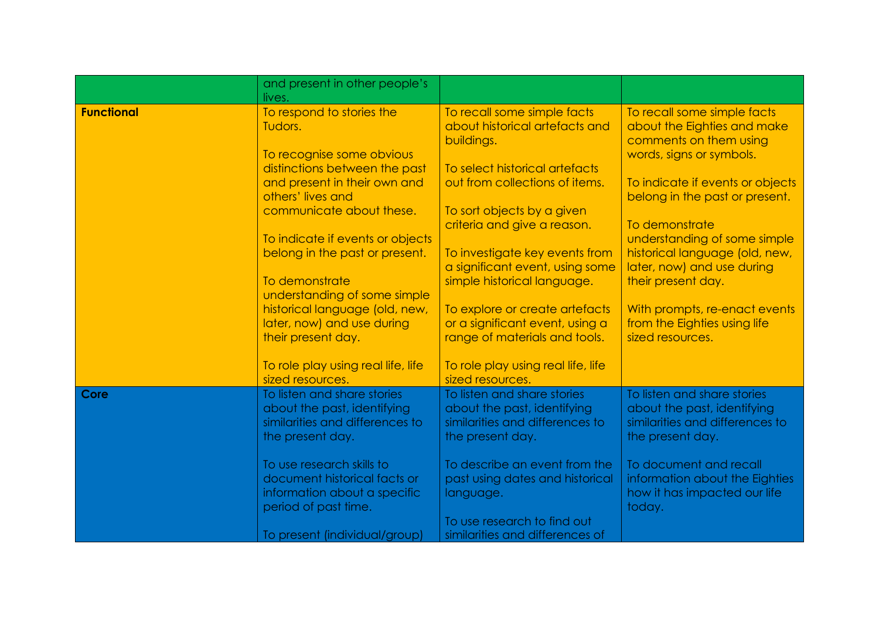|                   | and present in other people's                                |                                                                   |                                                               |
|-------------------|--------------------------------------------------------------|-------------------------------------------------------------------|---------------------------------------------------------------|
|                   | lives.                                                       |                                                                   |                                                               |
| <b>Functional</b> | To respond to stories the<br>Tudors.                         | To recall some simple facts<br>about historical artefacts and     | To recall some simple facts<br>about the Eighties and make    |
|                   |                                                              | buildings.                                                        | comments on them using                                        |
|                   | To recognise some obvious                                    |                                                                   | words, signs or symbols.                                      |
|                   | distinctions between the past                                | To select historical artefacts                                    |                                                               |
|                   | and present in their own and                                 | out from collections of items.                                    | To indicate if events or objects                              |
|                   | others' lives and                                            |                                                                   | belong in the past or present.                                |
|                   | communicate about these.                                     | To sort objects by a given                                        |                                                               |
|                   |                                                              | criteria and give a reason.                                       | To demonstrate                                                |
|                   | To indicate if events or objects                             |                                                                   | understanding of some simple                                  |
|                   | belong in the past or present.                               | To investigate key events from                                    | historical language (old, new,                                |
|                   |                                                              | a significant event, using some                                   | later, now) and use during                                    |
|                   | To demonstrate                                               | simple historical language.                                       | their present day.                                            |
|                   | understanding of some simple                                 |                                                                   |                                                               |
|                   | historical language (old, new,<br>later, now) and use during | To explore or create artefacts<br>or a significant event, using a | With prompts, re-enact events<br>from the Eighties using life |
|                   | their present day.                                           | range of materials and tools.                                     | sized resources.                                              |
|                   |                                                              |                                                                   |                                                               |
|                   | To role play using real life, life                           | To role play using real life, life                                |                                                               |
|                   | sized resources.                                             | sized resources.                                                  |                                                               |
| Core              | To listen and share stories                                  | To listen and share stories                                       | To listen and share stories                                   |
|                   | about the past, identifying                                  | about the past, identifying                                       | about the past, identifying                                   |
|                   | similarities and differences to                              | similarities and differences to                                   | similarities and differences to                               |
|                   | the present day.                                             | the present day.                                                  | the present day.                                              |
|                   | To use research skills to                                    | To describe an event from the                                     | To document and recall                                        |
|                   | document historical facts or                                 | past using dates and historical                                   | information about the Eighties                                |
|                   | information about a specific                                 | language.                                                         | how it has impacted our life                                  |
|                   | period of past time.                                         |                                                                   | today.                                                        |
|                   |                                                              | To use research to find out                                       |                                                               |
|                   | To present (individual/group)                                | similarities and differences of                                   |                                                               |